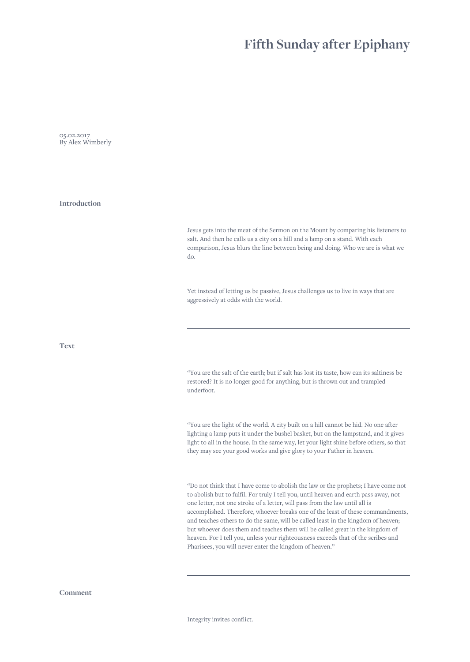## **Fifth Sunday after Epiphany**

05.02.2017 By Alex Wimberly

**Introduction**

Jesus gets into the meat of the Sermon on the Mount by comparing his listeners to salt. And then he calls us a city on a hill and a lamp on a stand. With each comparison, Jesus blurs the line between being and doing. Who we are is what we do.

Yet instead of letting us be passive, Jesus challenges us to live in ways that are aggressively at odds with the world.

**Text**

"You are the salt of the earth; but if salt has lost its taste, how can its saltiness be restored? It is no longer good for anything, but is thrown out and trampled underfoot.

"You are the light of the world. A city built on a hill cannot be hid. No one after lighting a lamp puts it under the bushel basket, but on the lampstand, and it gives light to all in the house. In the same way, let your light shine before others, so that they may see your good works and give glory to your Father in heaven.

"Do not think that I have come to abolish the law or the prophets; I have come not to abolish but to fulfil. For truly I tell you, until heaven and earth pass away, not one letter, not one stroke of a letter, will pass from the law until all is accomplished. Therefore, whoever breaks one of the least of these commandments, and teaches others to do the same, will be called least in the kingdom of heaven; but whoever does them and teaches them will be called great in the kingdom of heaven. For I tell you, unless your righteousness exceeds that of the scribes and Pharisees, you will never enter the kingdom of heaven."

**Comment**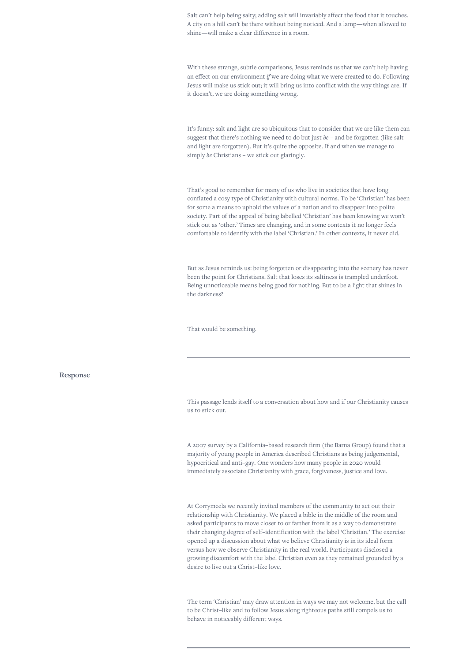Salt can't help being salty; adding salt will invariably affect the food that it touches. A city on a hill can't be there without being noticed. And a lamp—when allowed to shine—will make a clear difference in a room.

With these strange, subtle comparisons, Jesus reminds us that we can't help having an effect on our environment *if* we are doing what we were created to do. Following Jesus will make us stick out; it will bring us into conflict with the way things are. If it doesn't, we are doing something wrong.

It's funny: salt and light are so ubiquitous that to consider that we are like them can suggest that there's nothing we need to do but just *be* – and be forgotten (like salt and light are forgotten). But it's quite the opposite. If and when we manage to simply *be* Christians – we stick out glaringly.

That's good to remember for many of us who live in societies that have long conflated a cosy type of Christianity with cultural norms. To be 'Christian' has been for some a means to uphold the values of a nation and to disappear into polite society. Part of the appeal of being labelled 'Christian' has been knowing we won't stick out as 'other.' Times are changing, and in some contexts it no longer feels comfortable to identify with the label 'Christian.' In other contexts, it never did.

But as Jesus reminds us: being forgotten or disappearing into the scenery has never been the point for Christians. Salt that loses its saltiness is trampled underfoot. Being unnoticeable means being good for nothing. But to be a light that shines in the darkness?

That would be something.

## **Response**

This passage lends itself to a conversation about how and if our Christianity causes us to stick out.

A 2007 survey by a California–based research firm (the Barna Group) found that a majority of young people in America described Christians as being judgemental, hypocritical and anti–gay. One wonders how many people in 2020 would immediately associate Christianity with grace, forgiveness, justice and love.

At Corrymeela we recently invited members of the community to act out their relationship with Christianity. We placed a bible in the middle of the room and asked participants to move closer to or farther from it as a way to demonstrate their changing degree of self–identification with the label 'Christian.' The exercise opened up a discussion about what we believe Christianity is in its ideal form versus how we observe Christianity in the real world. Participants disclosed a growing discomfort with the label Christian even as they remained grounded by a desire to live out a Christ–like love.

The term 'Christian' may draw attention in ways we may not welcome, but the call to be Christ–like and to follow Jesus along righteous paths still compels us to behave in noticeably different ways.